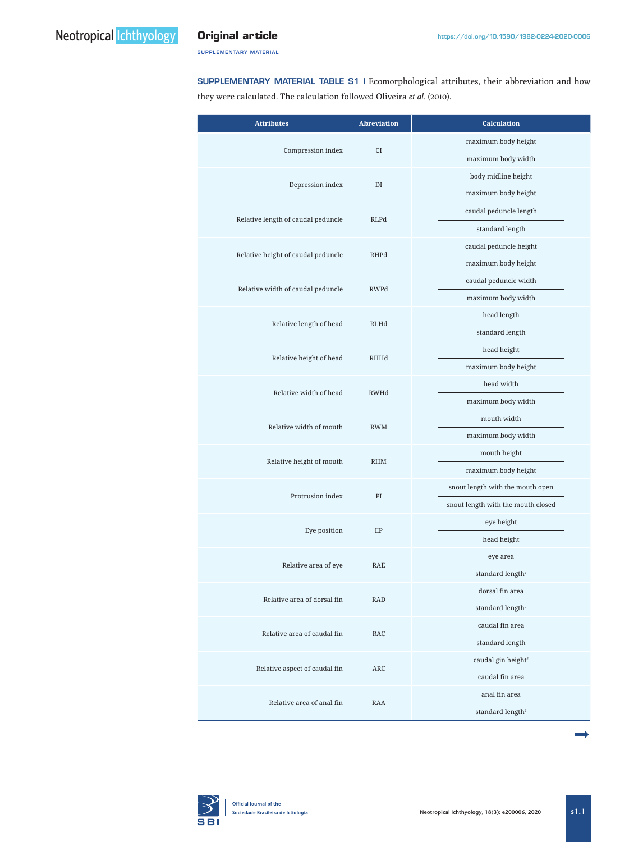SUPPLEMENTARY MATERIAL

SUPPLEMENTARY MATERIAL TABLE S1 | Ecomorphological attributes, their abbreviation and how they were calculated. The calculation followed Oliveira *et al*. (2010).

| <b>Attributes</b>                          | <b>Abreviation</b>                         | <b>Calculation</b>                 |  |
|--------------------------------------------|--------------------------------------------|------------------------------------|--|
|                                            | Compression index<br><b>CI</b>             | maximum body height                |  |
|                                            |                                            | maximum body width                 |  |
| Depression index                           | DI                                         | body midline height                |  |
|                                            |                                            | maximum body height                |  |
| Relative length of caudal peduncle<br>RLPd |                                            | caudal peduncle length             |  |
|                                            |                                            | standard length                    |  |
|                                            | Relative height of caudal peduncle<br>RHPd | caudal peduncle height             |  |
|                                            |                                            | maximum body height                |  |
|                                            |                                            | caudal peduncle width              |  |
| Relative width of caudal peduncle          | <b>RWPd</b>                                | maximum body width                 |  |
|                                            | Relative length of head<br>RLHd            | head length                        |  |
|                                            |                                            | standard length                    |  |
|                                            |                                            | head height                        |  |
| Relative height of head                    | RHHd                                       | maximum body height                |  |
| Relative width of head                     | RWHd                                       | head width                         |  |
|                                            |                                            | maximum body width                 |  |
| Relative width of mouth                    | <b>RWM</b>                                 | mouth width                        |  |
|                                            |                                            | maximum body width                 |  |
| Relative height of mouth<br><b>RHM</b>     |                                            | mouth height                       |  |
|                                            |                                            | maximum body height                |  |
| Protrusion index                           | PI                                         | snout length with the mouth open   |  |
|                                            |                                            | snout length with the mouth closed |  |
|                                            | Eye position<br>EP                         | eye height                         |  |
|                                            |                                            | head height                        |  |
| Relative area of eye                       | <b>RAE</b>                                 | eye area                           |  |
|                                            |                                            | standard length <sup>2</sup>       |  |
| Relative area of dorsal fin                | RAD                                        | dorsal fin area                    |  |
|                                            |                                            | standard length <sup>2</sup>       |  |
| Relative area of caudal fin                | RAC                                        | caudal fin area                    |  |
|                                            |                                            | standard length                    |  |
| Relative aspect of caudal fin              | ARC                                        | caudal gin height <sup>2</sup>     |  |
|                                            |                                            | caudal fin area                    |  |
| Relative area of anal fin<br>RAA           |                                            | anal fin area                      |  |
|                                            |                                            | standard length <sup>2</sup>       |  |

ª

**SBI**